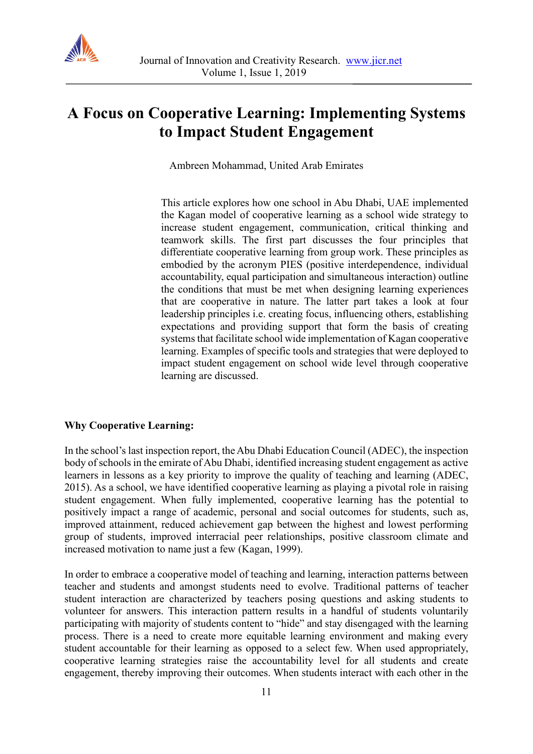

# **A Focus on Cooperative Learning: Implementing Systems to Impact Student Engagement**

Ambreen Mohammad, United Arab Emirates

This article explores how one school in Abu Dhabi, UAE implemented the Kagan model of cooperative learning as a school wide strategy to increase student engagement, communication, critical thinking and teamwork skills. The first part discusses the four principles that differentiate cooperative learning from group work. These principles as embodied by the acronym PIES (positive interdependence, individual accountability, equal participation and simultaneous interaction) outline the conditions that must be met when designing learning experiences that are cooperative in nature. The latter part takes a look at four leadership principles i.e. creating focus, influencing others, establishing expectations and providing support that form the basis of creating systems that facilitate school wide implementation of Kagan cooperative learning. Examples of specific tools and strategies that were deployed to impact student engagement on school wide level through cooperative learning are discussed.

#### **Why Cooperative Learning:**

In the school's last inspection report, the Abu Dhabi Education Council (ADEC), the inspection body of schools in the emirate of Abu Dhabi, identified increasing student engagement as active learners in lessons as a key priority to improve the quality of teaching and learning (ADEC, 2015). As a school, we have identified cooperative learning as playing a pivotal role in raising student engagement. When fully implemented, cooperative learning has the potential to positively impact a range of academic, personal and social outcomes for students, such as, improved attainment, reduced achievement gap between the highest and lowest performing group of students, improved interracial peer relationships, positive classroom climate and increased motivation to name just a few (Kagan, 1999).

In order to embrace a cooperative model of teaching and learning, interaction patterns between teacher and students and amongst students need to evolve. Traditional patterns of teacher student interaction are characterized by teachers posing questions and asking students to volunteer for answers. This interaction pattern results in a handful of students voluntarily participating with majority of students content to "hide" and stay disengaged with the learning process. There is a need to create more equitable learning environment and making every student accountable for their learning as opposed to a select few. When used appropriately, cooperative learning strategies raise the accountability level for all students and create engagement, thereby improving their outcomes. When students interact with each other in the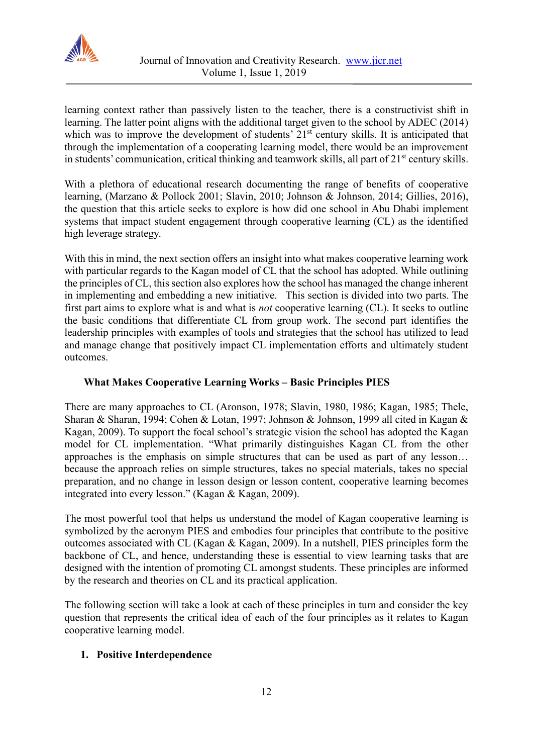

learning context rather than passively listen to the teacher, there is a constructivist shift in learning. The latter point aligns with the additional target given to the school by ADEC (2014) which was to improve the development of students'  $21<sup>st</sup>$  century skills. It is anticipated that through the implementation of a cooperating learning model, there would be an improvement in students' communication, critical thinking and teamwork skills, all part of 21<sup>st</sup> century skills.

With a plethora of educational research documenting the range of benefits of cooperative learning, (Marzano & Pollock 2001; Slavin, 2010; Johnson & Johnson, 2014; Gillies, 2016), the question that this article seeks to explore is how did one school in Abu Dhabi implement systems that impact student engagement through cooperative learning (CL) as the identified high leverage strategy.

With this in mind, the next section offers an insight into what makes cooperative learning work with particular regards to the Kagan model of CL that the school has adopted. While outlining the principles of CL, this section also explores how the school has managed the change inherent in implementing and embedding a new initiative. This section is divided into two parts. The first part aims to explore what is and what is *not* cooperative learning (CL). It seeks to outline the basic conditions that differentiate CL from group work. The second part identifies the leadership principles with examples of tools and strategies that the school has utilized to lead and manage change that positively impact CL implementation efforts and ultimately student outcomes.

# **What Makes Cooperative Learning Works – Basic Principles PIES**

There are many approaches to CL (Aronson, 1978; Slavin, 1980, 1986; Kagan, 1985; Thele, Sharan & Sharan, 1994; Cohen & Lotan, 1997; Johnson & Johnson, 1999 all cited in Kagan & Kagan, 2009). To support the focal school's strategic vision the school has adopted the Kagan model for CL implementation. "What primarily distinguishes Kagan CL from the other approaches is the emphasis on simple structures that can be used as part of any lesson… because the approach relies on simple structures, takes no special materials, takes no special preparation, and no change in lesson design or lesson content, cooperative learning becomes integrated into every lesson." (Kagan & Kagan, 2009).

The most powerful tool that helps us understand the model of Kagan cooperative learning is symbolized by the acronym PIES and embodies four principles that contribute to the positive outcomes associated with CL (Kagan & Kagan, 2009). In a nutshell, PIES principles form the backbone of CL, and hence, understanding these is essential to view learning tasks that are designed with the intention of promoting CL amongst students. These principles are informed by the research and theories on CL and its practical application.

The following section will take a look at each of these principles in turn and consider the key question that represents the critical idea of each of the four principles as it relates to Kagan cooperative learning model.

## **1. Positive Interdependence**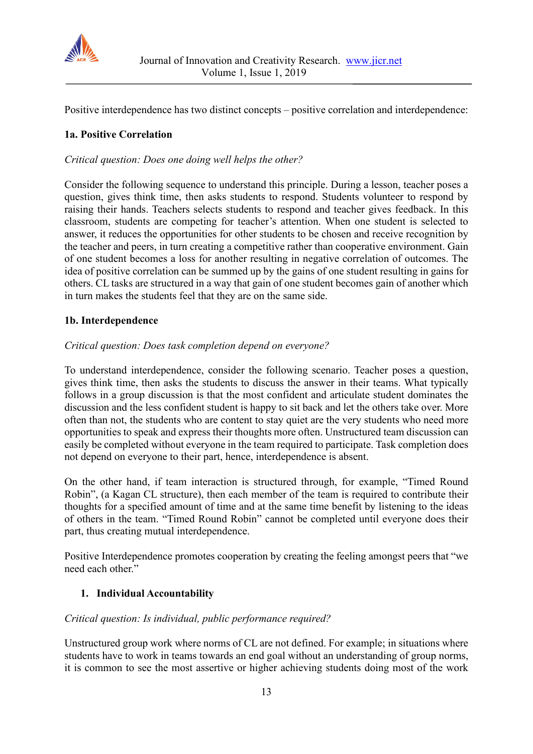

Positive interdependence has two distinct concepts – positive correlation and interdependence:

## **1a. Positive Correlation**

*Critical question: Does one doing well helps the other?*

Consider the following sequence to understand this principle. During a lesson, teacher poses a question, gives think time, then asks students to respond. Students volunteer to respond by raising their hands. Teachers selects students to respond and teacher gives feedback. In this classroom, students are competing for teacher's attention. When one student is selected to answer, it reduces the opportunities for other students to be chosen and receive recognition by the teacher and peers, in turn creating a competitive rather than cooperative environment. Gain of one student becomes a loss for another resulting in negative correlation of outcomes. The idea of positive correlation can be summed up by the gains of one student resulting in gains for others. CL tasks are structured in a way that gain of one student becomes gain of another which in turn makes the students feel that they are on the same side.

#### **1b. Interdependence**

#### *Critical question: Does task completion depend on everyone?*

To understand interdependence, consider the following scenario. Teacher poses a question, gives think time, then asks the students to discuss the answer in their teams. What typically follows in a group discussion is that the most confident and articulate student dominates the discussion and the less confident student is happy to sit back and let the others take over. More often than not, the students who are content to stay quiet are the very students who need more opportunities to speak and express their thoughts more often. Unstructured team discussion can easily be completed without everyone in the team required to participate. Task completion does not depend on everyone to their part, hence, interdependence is absent.

On the other hand, if team interaction is structured through, for example, "Timed Round Robin", (a Kagan CL structure), then each member of the team is required to contribute their thoughts for a specified amount of time and at the same time benefit by listening to the ideas of others in the team. "Timed Round Robin" cannot be completed until everyone does their part, thus creating mutual interdependence.

Positive Interdependence promotes cooperation by creating the feeling amongst peers that "we need each other."

## **1. Individual Accountability**

#### *Critical question: Is individual, public performance required?*

Unstructured group work where norms of CL are not defined. For example; in situations where students have to work in teams towards an end goal without an understanding of group norms, it is common to see the most assertive or higher achieving students doing most of the work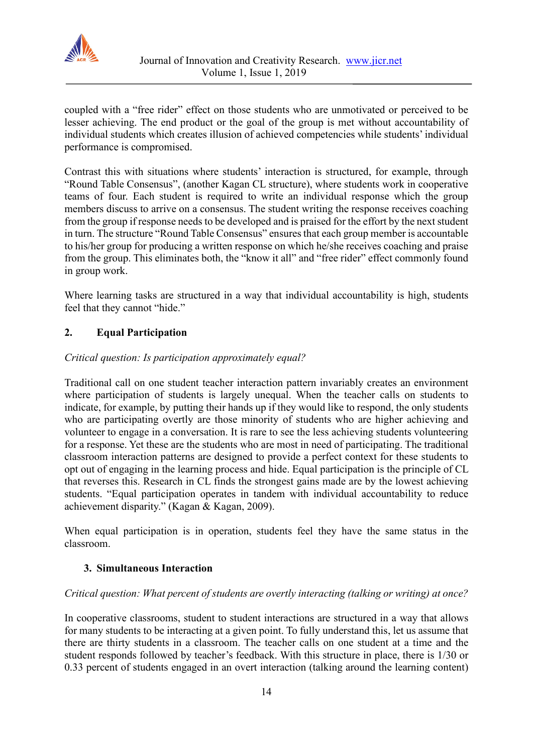

coupled with a "free rider" effect on those students who are unmotivated or perceived to be lesser achieving. The end product or the goal of the group is met without accountability of individual students which creates illusion of achieved competencies while students' individual performance is compromised.

Contrast this with situations where students' interaction is structured, for example, through "Round Table Consensus", (another Kagan CL structure), where students work in cooperative teams of four. Each student is required to write an individual response which the group members discuss to arrive on a consensus. The student writing the response receives coaching from the group if response needs to be developed and is praised for the effort by the next student in turn. The structure "Round Table Consensus" ensures that each group member is accountable to his/her group for producing a written response on which he/she receives coaching and praise from the group. This eliminates both, the "know it all" and "free rider" effect commonly found in group work.

Where learning tasks are structured in a way that individual accountability is high, students feel that they cannot "hide."

# **2. Equal Participation**

## *Critical question: Is participation approximately equal?*

Traditional call on one student teacher interaction pattern invariably creates an environment where participation of students is largely unequal. When the teacher calls on students to indicate, for example, by putting their hands up if they would like to respond, the only students who are participating overtly are those minority of students who are higher achieving and volunteer to engage in a conversation. It is rare to see the less achieving students volunteering for a response. Yet these are the students who are most in need of participating. The traditional classroom interaction patterns are designed to provide a perfect context for these students to opt out of engaging in the learning process and hide. Equal participation is the principle of CL that reverses this. Research in CL finds the strongest gains made are by the lowest achieving students. "Equal participation operates in tandem with individual accountability to reduce achievement disparity." (Kagan & Kagan, 2009).

When equal participation is in operation, students feel they have the same status in the classroom.

## **3. Simultaneous Interaction**

#### *Critical question: What percent of students are overtly interacting (talking or writing) at once?*

In cooperative classrooms, student to student interactions are structured in a way that allows for many students to be interacting at a given point. To fully understand this, let us assume that there are thirty students in a classroom. The teacher calls on one student at a time and the student responds followed by teacher's feedback. With this structure in place, there is 1/30 or 0.33 percent of students engaged in an overt interaction (talking around the learning content)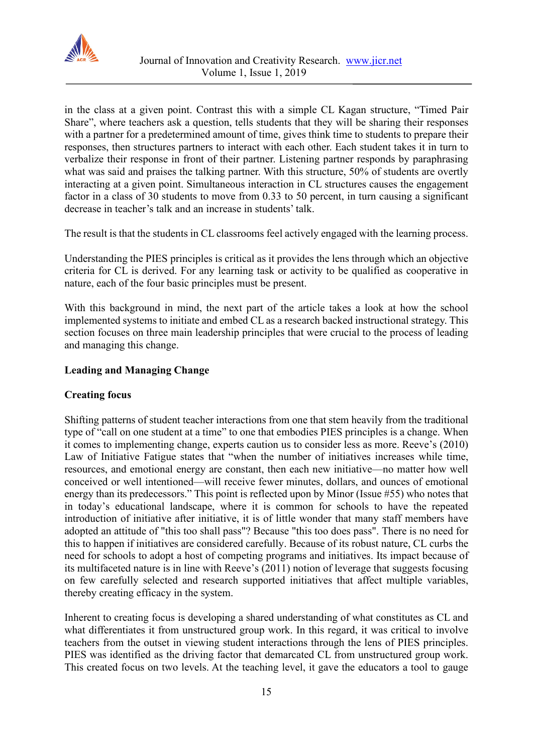

in the class at a given point. Contrast this with a simple CL Kagan structure, "Timed Pair Share", where teachers ask a question, tells students that they will be sharing their responses with a partner for a predetermined amount of time, gives think time to students to prepare their responses, then structures partners to interact with each other. Each student takes it in turn to verbalize their response in front of their partner. Listening partner responds by paraphrasing what was said and praises the talking partner. With this structure, 50% of students are overtly interacting at a given point. Simultaneous interaction in CL structures causes the engagement factor in a class of 30 students to move from 0.33 to 50 percent, in turn causing a significant decrease in teacher's talk and an increase in students' talk.

The result is that the students in CL classrooms feel actively engaged with the learning process.

Understanding the PIES principles is critical as it provides the lens through which an objective criteria for CL is derived. For any learning task or activity to be qualified as cooperative in nature, each of the four basic principles must be present.

With this background in mind, the next part of the article takes a look at how the school implemented systems to initiate and embed CL as a research backed instructional strategy. This section focuses on three main leadership principles that were crucial to the process of leading and managing this change.

## **Leading and Managing Change**

## **Creating focus**

Shifting patterns of student teacher interactions from one that stem heavily from the traditional type of "call on one student at a time" to one that embodies PIES principles is a change. When it comes to implementing change, experts caution us to consider less as more. Reeve's (2010) Law of Initiative Fatigue states that "when the number of initiatives increases while time, resources, and emotional energy are constant, then each new initiative—no matter how well conceived or well intentioned—will receive fewer minutes, dollars, and ounces of emotional energy than its predecessors." This point is reflected upon by Minor (Issue #55) who notes that in today's educational landscape, where it is common for schools to have the repeated introduction of initiative after initiative, it is of little wonder that many staff members have adopted an attitude of "this too shall pass"? Because "this too does pass". There is no need for this to happen if initiatives are considered carefully. Because of its robust nature, CL curbs the need for schools to adopt a host of competing programs and initiatives. Its impact because of its multifaceted nature is in line with Reeve's (2011) notion of leverage that suggests focusing on few carefully selected and research supported initiatives that affect multiple variables, thereby creating efficacy in the system.

Inherent to creating focus is developing a shared understanding of what constitutes as CL and what differentiates it from unstructured group work. In this regard, it was critical to involve teachers from the outset in viewing student interactions through the lens of PIES principles. PIES was identified as the driving factor that demarcated CL from unstructured group work. This created focus on two levels. At the teaching level, it gave the educators a tool to gauge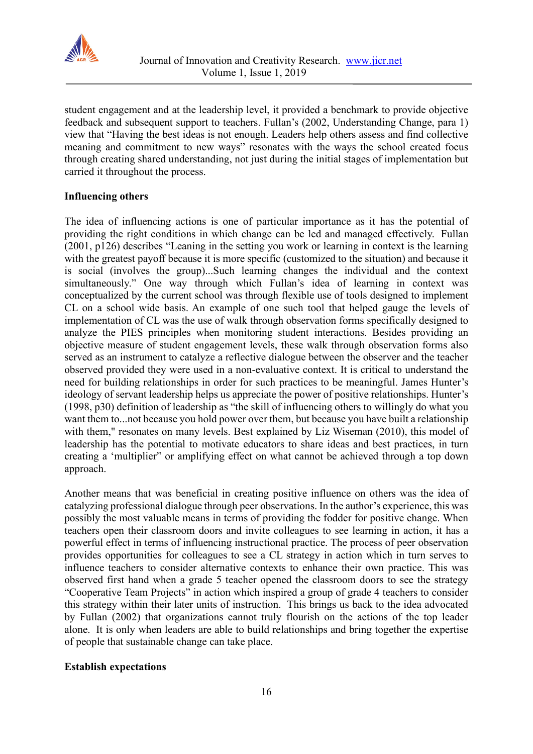

student engagement and at the leadership level, it provided a benchmark to provide objective feedback and subsequent support to teachers. Fullan's (2002, Understanding Change, para 1) view that "Having the best ideas is not enough. Leaders help others assess and find collective meaning and commitment to new ways" resonates with the ways the school created focus through creating shared understanding, not just during the initial stages of implementation but carried it throughout the process.

## **Influencing others**

The idea of influencing actions is one of particular importance as it has the potential of providing the right conditions in which change can be led and managed effectively. Fullan (2001, p126) describes "Leaning in the setting you work or learning in context is the learning with the greatest payoff because it is more specific (customized to the situation) and because it is social (involves the group)...Such learning changes the individual and the context simultaneously." One way through which Fullan's idea of learning in context was conceptualized by the current school was through flexible use of tools designed to implement CL on a school wide basis. An example of one such tool that helped gauge the levels of implementation of CL was the use of walk through observation forms specifically designed to analyze the PIES principles when monitoring student interactions. Besides providing an objective measure of student engagement levels, these walk through observation forms also served as an instrument to catalyze a reflective dialogue between the observer and the teacher observed provided they were used in a non-evaluative context. It is critical to understand the need for building relationships in order for such practices to be meaningful. James Hunter's ideology of servant leadership helps us appreciate the power of positive relationships. Hunter's (1998, p30) definition of leadership as "the skill of influencing others to willingly do what you want them to...not because you hold power over them, but because you have built a relationship with them," resonates on many levels. Best explained by Liz Wiseman (2010), this model of leadership has the potential to motivate educators to share ideas and best practices, in turn creating a 'multiplier" or amplifying effect on what cannot be achieved through a top down approach.

Another means that was beneficial in creating positive influence on others was the idea of catalyzing professional dialogue through peer observations. In the author's experience, this was possibly the most valuable means in terms of providing the fodder for positive change. When teachers open their classroom doors and invite colleagues to see learning in action, it has a powerful effect in terms of influencing instructional practice. The process of peer observation provides opportunities for colleagues to see a CL strategy in action which in turn serves to influence teachers to consider alternative contexts to enhance their own practice. This was observed first hand when a grade 5 teacher opened the classroom doors to see the strategy "Cooperative Team Projects" in action which inspired a group of grade 4 teachers to consider this strategy within their later units of instruction. This brings us back to the idea advocated by Fullan (2002) that organizations cannot truly flourish on the actions of the top leader alone. It is only when leaders are able to build relationships and bring together the expertise of people that sustainable change can take place.

#### **Establish expectations**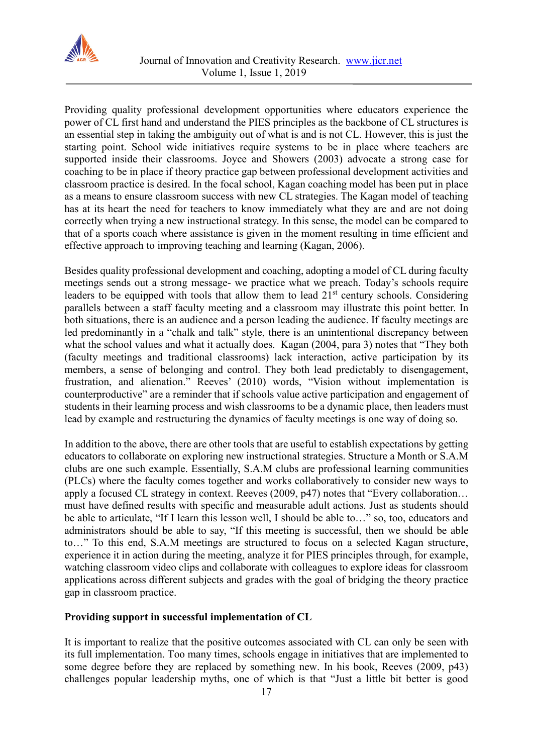

Providing quality professional development opportunities where educators experience the power of CL first hand and understand the PIES principles as the backbone of CL structures is an essential step in taking the ambiguity out of what is and is not CL. However, this is just the starting point. School wide initiatives require systems to be in place where teachers are supported inside their classrooms. Joyce and Showers (2003) advocate a strong case for coaching to be in place if theory practice gap between professional development activities and classroom practice is desired. In the focal school, Kagan coaching model has been put in place as a means to ensure classroom success with new CL strategies. The Kagan model of teaching has at its heart the need for teachers to know immediately what they are and are not doing correctly when trying a new instructional strategy. In this sense, the model can be compared to that of a sports coach where assistance is given in the moment resulting in time efficient and effective approach to improving teaching and learning (Kagan, 2006).

Besides quality professional development and coaching, adopting a model of CL during faculty meetings sends out a strong message- we practice what we preach. Today's schools require leaders to be equipped with tools that allow them to lead  $21<sup>st</sup>$  century schools. Considering parallels between a staff faculty meeting and a classroom may illustrate this point better. In both situations, there is an audience and a person leading the audience. If faculty meetings are led predominantly in a "chalk and talk" style, there is an unintentional discrepancy between what the school values and what it actually does. Kagan (2004, para 3) notes that "They both (faculty meetings and traditional classrooms) lack interaction, active participation by its members, a sense of belonging and control. They both lead predictably to disengagement, frustration, and alienation." Reeves' (2010) words, "Vision without implementation is counterproductive" are a reminder that if schools value active participation and engagement of students in their learning process and wish classrooms to be a dynamic place, then leaders must lead by example and restructuring the dynamics of faculty meetings is one way of doing so.

In addition to the above, there are other tools that are useful to establish expectations by getting educators to collaborate on exploring new instructional strategies. Structure a Month or S.A.M clubs are one such example. Essentially, S.A.M clubs are professional learning communities (PLCs) where the faculty comes together and works collaboratively to consider new ways to apply a focused CL strategy in context. Reeves (2009, p47) notes that "Every collaboration… must have defined results with specific and measurable adult actions. Just as students should be able to articulate, "If I learn this lesson well, I should be able to…" so, too, educators and administrators should be able to say, "If this meeting is successful, then we should be able to…" To this end, S.A.M meetings are structured to focus on a selected Kagan structure, experience it in action during the meeting, analyze it for PIES principles through, for example, watching classroom video clips and collaborate with colleagues to explore ideas for classroom applications across different subjects and grades with the goal of bridging the theory practice gap in classroom practice.

## **Providing support in successful implementation of CL**

It is important to realize that the positive outcomes associated with CL can only be seen with its full implementation. Too many times, schools engage in initiatives that are implemented to some degree before they are replaced by something new. In his book, Reeves (2009, p43) challenges popular leadership myths, one of which is that "Just a little bit better is good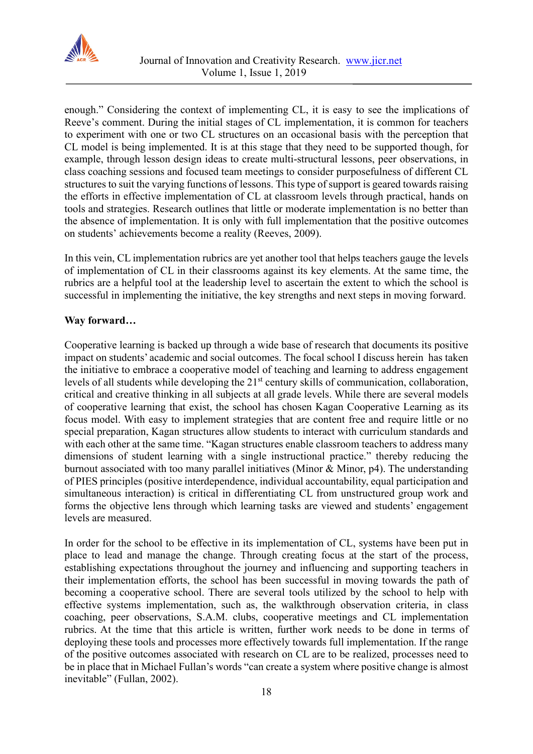

enough." Considering the context of implementing CL, it is easy to see the implications of Reeve's comment. During the initial stages of CL implementation, it is common for teachers to experiment with one or two CL structures on an occasional basis with the perception that CL model is being implemented. It is at this stage that they need to be supported though, for example, through lesson design ideas to create multi-structural lessons, peer observations, in class coaching sessions and focused team meetings to consider purposefulness of different CL structures to suit the varying functions of lessons. This type of support is geared towards raising the efforts in effective implementation of CL at classroom levels through practical, hands on tools and strategies. Research outlines that little or moderate implementation is no better than the absence of implementation. It is only with full implementation that the positive outcomes on students' achievements become a reality (Reeves, 2009).

In this vein, CL implementation rubrics are yet another tool that helps teachers gauge the levels of implementation of CL in their classrooms against its key elements. At the same time, the rubrics are a helpful tool at the leadership level to ascertain the extent to which the school is successful in implementing the initiative, the key strengths and next steps in moving forward.

#### **Way forward…**

Cooperative learning is backed up through a wide base of research that documents its positive impact on students' academic and social outcomes. The focal school I discuss herein has taken the initiative to embrace a cooperative model of teaching and learning to address engagement levels of all students while developing the 21<sup>st</sup> century skills of communication, collaboration, critical and creative thinking in all subjects at all grade levels. While there are several models of cooperative learning that exist, the school has chosen Kagan Cooperative Learning as its focus model. With easy to implement strategies that are content free and require little or no special preparation, Kagan structures allow students to interact with curriculum standards and with each other at the same time. "Kagan structures enable classroom teachers to address many dimensions of student learning with a single instructional practice." thereby reducing the burnout associated with too many parallel initiatives (Minor & Minor, p4). The understanding of PIES principles (positive interdependence, individual accountability, equal participation and simultaneous interaction) is critical in differentiating CL from unstructured group work and forms the objective lens through which learning tasks are viewed and students' engagement levels are measured.

In order for the school to be effective in its implementation of CL, systems have been put in place to lead and manage the change. Through creating focus at the start of the process, establishing expectations throughout the journey and influencing and supporting teachers in their implementation efforts, the school has been successful in moving towards the path of becoming a cooperative school. There are several tools utilized by the school to help with effective systems implementation, such as, the walkthrough observation criteria, in class coaching, peer observations, S.A.M. clubs, cooperative meetings and CL implementation rubrics. At the time that this article is written, further work needs to be done in terms of deploying these tools and processes more effectively towards full implementation. If the range of the positive outcomes associated with research on CL are to be realized, processes need to be in place that in Michael Fullan's words "can create a system where positive change is almost inevitable" (Fullan, 2002).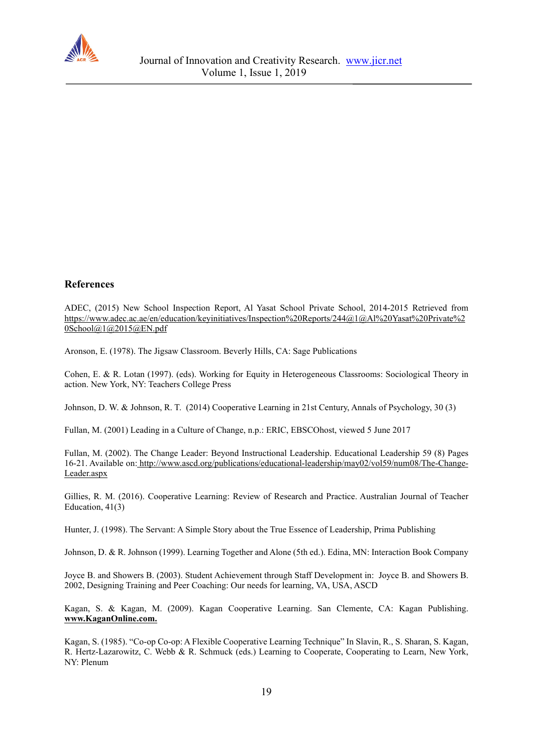

#### **References**

ADEC, (2015) New School Inspection Report, Al Yasat School Private School, 2014-2015 [Retrieved from](https://www.adec.ac.ae/en/education/keyinitiatives/Inspection%20Reports/244@1@Al%20Yasat%20Private%20School@1@2015@EN.pdf) [https://www.adec.ac.ae/en/education/keyinitiatives/Inspection%20Reports/244@1@Al%20Yasat%20Private%2](https://www.adec.ac.ae/en/education/keyinitiatives/Inspection%20Reports/244@1@Al%20Yasat%20Private%20School@1@2015@EN.pdf) [0School@1@2015@EN.pdf](https://www.adec.ac.ae/en/education/keyinitiatives/Inspection%20Reports/244@1@Al%20Yasat%20Private%20School@1@2015@EN.pdf)

Aronson, E. (1978). The Jigsaw Classroom. Beverly Hills, CA: Sage Publications

Cohen, E. & R. Lotan (1997). (eds). Working for Equity in Heterogeneous Classrooms: Sociological Theory in action. New York, NY: Teachers College Press

Johnson, D. W. & Johnson, R. T. (2014) Cooperative Learning in 21st Century, Annals of Psychology, 30 (3)

Fullan, M. (2001) Leading in a Culture of Change, n.p.: ERIC, EBSCOhost, viewed 5 June 2017

Fullan, M. (2002). The Change Leader: Beyond Instructional Leadership. Educational Leadership 59 (8) Pages 16-21. Available on: [http://www.ascd.org/publications/educational-leadership/may02/vol59/num08/The-Change-](http://www.ascd.org/publications/educational-leadership/may02/vol59/num08/The-Change-Leader.aspx)[Leader.aspx](http://www.ascd.org/publications/educational-leadership/may02/vol59/num08/The-Change-Leader.aspx)

Gillies, R. M. (2016). Cooperative Learning: Review of Research and Practice. Australian Journal of Teacher Education, 41(3)

Hunter, J. (1998). The Servant: A Simple Story about the True Essence of Leadership, Prima Publishing

Johnson, D. & R. Johnson (1999). Learning Together and Alone (5th ed.). Edina, MN: Interaction Book Company

Joyce B. and Showers B. (2003). Student Achievement through Staff Development in: Joyce B. and Showers B. 2002, Designing Training and Peer Coaching: Our needs for learning, VA, USA, ASCD

Kagan, S. & Kagan, M. (2009). Kagan Cooperative Learning. San Clemente, CA: Kagan Publishing. **[www.KaganOnline.com.](http://www.kaganonline.com/)**

Kagan, S. (1985). "Co-op Co-op: A Flexible Cooperative Learning Technique" In Slavin, R., S. Sharan, S. Kagan, R. Hertz-Lazarowitz, C. Webb & R. Schmuck (eds.) Learning to Cooperate, Cooperating to Learn, New York, NY: Plenum